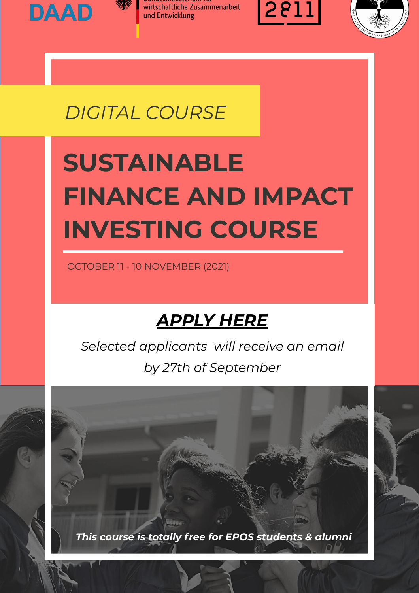







### *DIGITAL COURSE*

# **SUSTAINABLE FINANCE AND IMPACT INVESTING COURSE**

OCTOBER 11 - 10 NOVEMBER (2021)

### *APPLY HERE*

*[Selected applicants will receive an email](https://forms.gle/AmRiPbcsp6AT2xUZ7)  by 27th of September*

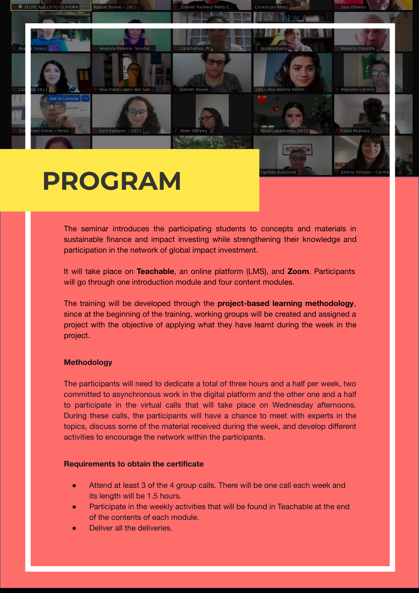

### **PROGRAM**

The seminar introduces the participating students to concepts and materials in sustainable finance and impact investing while strengthening their knowledge and participation in the network of global impact investment.

It will take place on **Teachable**, an online platform (LMS), and **Zoom**. Participants will go through one introduction module and four content modules.

The training will be developed through the **project-based learning methodology**, since at the beginning of the training, working groups will be created and assigned a project with the objective of applying what they have learnt during the week in the project.

#### **Methodology**

The participants will need to dedicate a total of three hours and a half per week, two committed to asynchronous work in the digital platform and the other one and a half to participate in the virtual calls that will take place on Wednesday afternoons. During these calls, the participants will have a chance to meet with experts in the topics, discuss some of the material received during the week, and develop different activities to encourage the network within the participants.

#### **Requirements to obtain the certificate**

- Attend at least 3 of the 4 group calls. There will be one call each week and its length will be 1.5 hours.
- Participate in the weekly activities that will be found in Teachable at the end of the contents of each module.
- Deliver all the deliveries.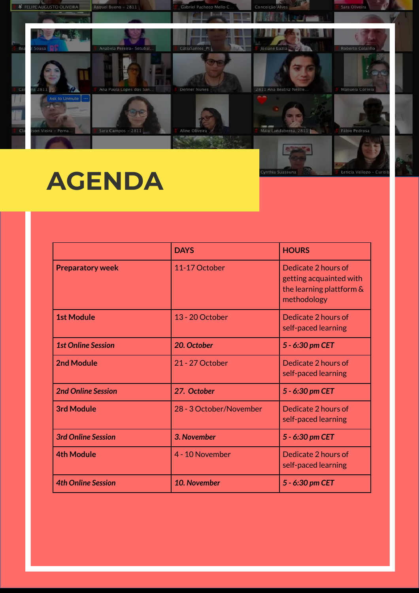

## **AGENDA**

|                           | <b>DAYS</b>             | <b>HOURS</b>                                                                              |
|---------------------------|-------------------------|-------------------------------------------------------------------------------------------|
| <b>Preparatory week</b>   | 11-17 October           | Dedicate 2 hours of<br>getting acquainted with<br>the learning plattform &<br>methodology |
| <b>1st Module</b>         | 13 - 20 October         | Dedicate 2 hours of<br>self-paced learning                                                |
| <b>1st Online Session</b> | 20. October             | 5 - 6:30 pm CET                                                                           |
| <b>2nd Module</b>         | 21 - 27 October         | Dedicate 2 hours of<br>self-paced learning                                                |
| <b>2nd Online Session</b> | 27. October             | 5 - 6:30 pm CET                                                                           |
| <b>3rd Module</b>         | 28 - 3 October/November | Dedicate 2 hours of<br>self-paced learning                                                |
| <b>3rd Online Session</b> | 3. November             | 5 - 6:30 pm CET                                                                           |
| <b>4th Module</b>         | 4 - 10 November         | Dedicate 2 hours of<br>self-paced learning                                                |
| <b>4th Online Session</b> | 10. November            | 5 - 6:30 pm CET                                                                           |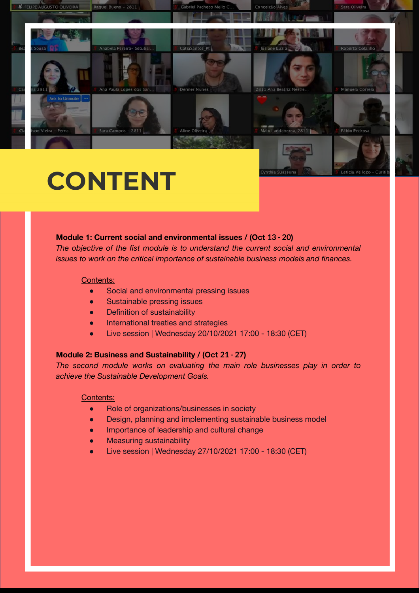

## **CONTENT**

#### **Module 1: Current social and environmental issues / (Oct 13 - 20)**

*The objective of the fist module is to understand the current social and environmental issues to work on the critical importance of sustainable business models and finances.* 

#### Contents:

- Social and environmental pressing issues
- **Sustainable pressing issues**
- **Definition of sustainability**
- International treaties and strategies
- Live session | Wednesday 20/10/2021 17:00 18:30 (CET)

#### **Module 2: Business and Sustainability / (Oct 21 - 27)**

*The second module works on evaluating the main role businesses play in order to achieve the Sustainable Development Goals.*

#### Contents:

- Role of organizations/businesses in society
- Design, planning and implementing sustainable business model
- Importance of leadership and cultural change
- **Measuring sustainability**
- Live session | Wednesday 27/10/2021 17:00 18:30 (CET)